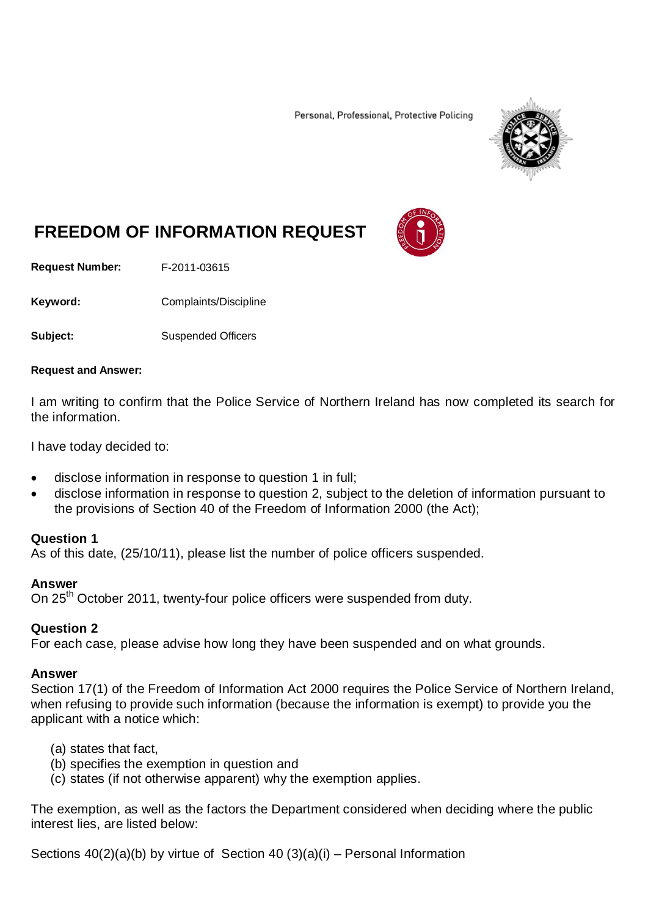Personal, Professional, Protective Policing



# **FREEDOM OF INFORMATION REQUEST**

**Request Number:** F-2011-03615

Keyword: Complaints/Discipline

**Subject:** Suspended Officers

#### **Request and Answer:**

I am writing to confirm that the Police Service of Northern Ireland has now completed its search for the information.

I have today decided to:

- disclose information in response to question 1 in full;
- disclose information in response to question 2, subject to the deletion of information pursuant to the provisions of Section 40 of the Freedom of Information 2000 (the Act);

### **Question 1**

As of this date, (25/10/11), please list the number of police officers suspended.

### **Answer**

On 25<sup>th</sup> October 2011, twenty-four police officers were suspended from duty.

## **Question 2**

For each case, please advise how long they have been suspended and on what grounds.

### **Answer**

Section 17(1) of the Freedom of Information Act 2000 requires the Police Service of Northern Ireland, when refusing to provide such information (because the information is exempt) to provide you the applicant with a notice which:

- (a) states that fact,
- (b) specifies the exemption in question and
- (c) states (if not otherwise apparent) why the exemption applies.

The exemption, as well as the factors the Department considered when deciding where the public interest lies, are listed below:

Sections 40(2)(a)(b) by virtue of Section 40 (3)(a)(i) – Personal Information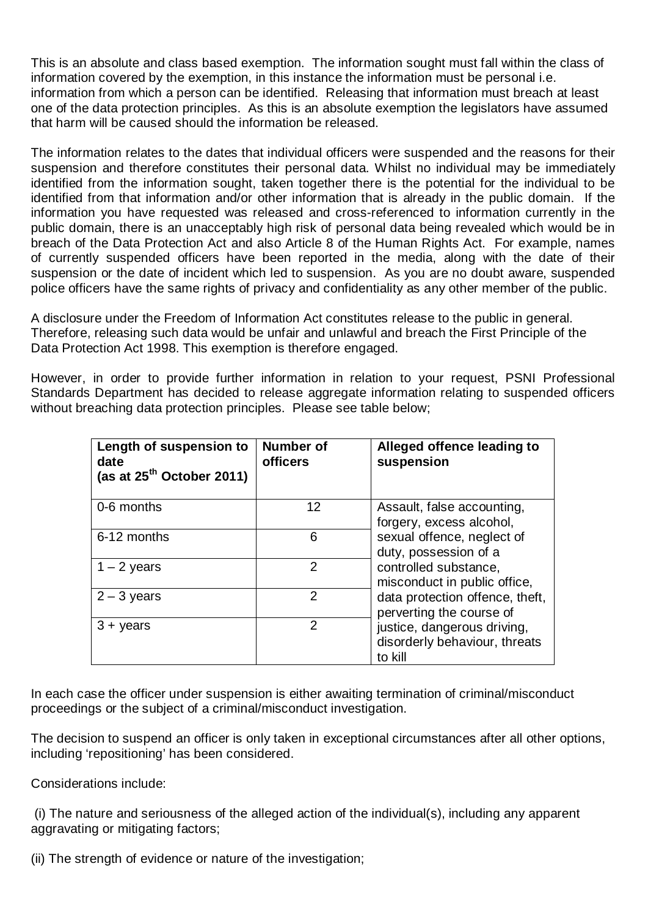This is an absolute and class based exemption. The information sought must fall within the class of information covered by the exemption, in this instance the information must be personal i.e. information from which a person can be identified. Releasing that information must breach at least one of the data protection principles. As this is an absolute exemption the legislators have assumed that harm will be caused should the information be released.

The information relates to the dates that individual officers were suspended and the reasons for their suspension and therefore constitutes their personal data. Whilst no individual may be immediately identified from the information sought, taken together there is the potential for the individual to be identified from that information and/or other information that is already in the public domain. If the information you have requested was released and cross-referenced to information currently in the public domain, there is an unacceptably high risk of personal data being revealed which would be in breach of the Data Protection Act and also Article 8 of the Human Rights Act. For example, names of currently suspended officers have been reported in the media, along with the date of their suspension or the date of incident which led to suspension. As you are no doubt aware, suspended police officers have the same rights of privacy and confidentiality as any other member of the public.

A disclosure under the Freedom of Information Act constitutes release to the public in general. Therefore, releasing such data would be unfair and unlawful and breach the First Principle of the Data Protection Act 1998. This exemption is therefore engaged.

However, in order to provide further information in relation to your request, PSNI Professional Standards Department has decided to release aggregate information relating to suspended officers without breaching data protection principles. Please see table below;

| Length of suspension to<br>date<br>(as at $25^{th}$ October 2011) | Number of<br><b>officers</b> | Alleged offence leading to<br>suspension                                                                                                                                                                                                                                                                         |
|-------------------------------------------------------------------|------------------------------|------------------------------------------------------------------------------------------------------------------------------------------------------------------------------------------------------------------------------------------------------------------------------------------------------------------|
| 0-6 months                                                        | 12                           | Assault, false accounting,<br>forgery, excess alcohol,<br>sexual offence, neglect of<br>duty, possession of a<br>controlled substance,<br>misconduct in public office,<br>data protection offence, theft,<br>perverting the course of<br>justice, dangerous driving,<br>disorderly behaviour, threats<br>to kill |
| 6-12 months                                                       | 6                            |                                                                                                                                                                                                                                                                                                                  |
| $1 - 2$ years                                                     | 2                            |                                                                                                                                                                                                                                                                                                                  |
| $2 - 3$ years                                                     | 2                            |                                                                                                                                                                                                                                                                                                                  |
| $3 + \gamma$ ears                                                 | 2                            |                                                                                                                                                                                                                                                                                                                  |

In each case the officer under suspension is either awaiting termination of criminal/misconduct proceedings or the subject of a criminal/misconduct investigation.

The decision to suspend an officer is only taken in exceptional circumstances after all other options, including 'repositioning' has been considered.

Considerations include:

(i) The nature and seriousness of the alleged action of the individual(s), including any apparent aggravating or mitigating factors;

(ii) The strength of evidence or nature of the investigation;